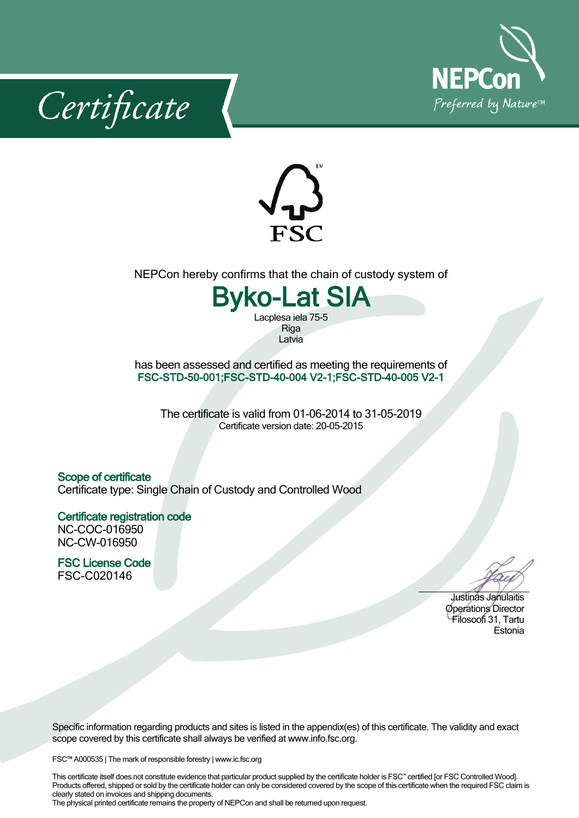





NEPCon hereby confirms that the chain of custody system of

## **Byko-Lat SIA**

Lacplesa iela 75-5 **Riga** Latvia

has been assessed and certified as meeting the requirements of **FSC-STD-50-001;FSC-STD-40-004 V2-1;FSC-STD-40-005 V2-1**

The certificate is valid from 01-06-2014 to 31-05-2019 Certificate version date: 20-05-2015

## **Scope of certificate**

Certificate type: Single Chain of Custody and Controlled Wood

## **Certificate registration code** NC-COC-016950

NC-CW-016950

**FSC License Code** FSC-C020146

Justinas Janulaitis Operations Director Filosoofi31, Tartu Estonia

Specific information regarding products and sites is listed in the appendix(es) of this certificate. The validity and exact scope covered by this certificate shall always be verified at www.info.fsc.org.

FSC™ A000535 | The mark of responsible forestry | www.ic.fsc.org

This certificate itself does not constitute evidence that particular product supplied by the certificate holder is FSC™ certified [or FSC Controlled Wood]. Products offered, shipped or sold by the certificate holder can only be considered covered by the scope of this certificate when the required FSC claim is clearly stated on invoices and shipping documents.

The physical printed certificate remains the property of NEPCon and shall be returned upon request.